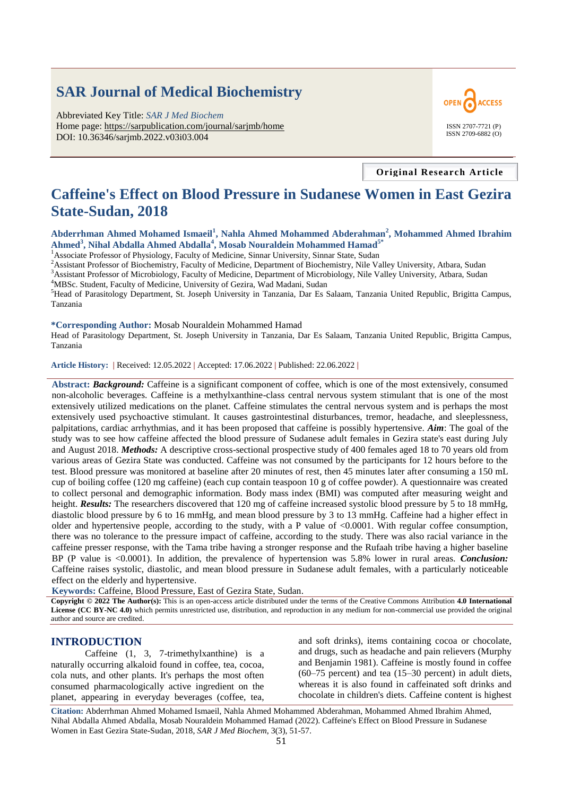# **SAR Journal of Medical Biochemistry**

Abbreviated Key Title: *SAR J Med Biochem* Home page: https://sarpublication.com/journal/sarjmb/home DOI: 10.36346/sarjmb.2022.v03i03.004



**Original Research Article**

## **Caffeine's Effect on Blood Pressure in Sudanese Women in East Gezira State-Sudan, 2018**

**Abderrhman Ahmed Mohamed Ismaeil<sup>1</sup> , Nahla Ahmed Mohammed Abderahman<sup>2</sup> , Mohammed Ahmed Ibrahim Ahmed<sup>3</sup> , Nihal Abdalla Ahmed Abdalla<sup>4</sup> , Mosab Nouraldein Mohammed Hamad5\***

<sup>1</sup> Associate Professor of Physiology, Faculty of Medicine, Sinnar University, Sinnar State, Sudan

<sup>2</sup>Assistant Professor of Biochemistry, Faculty of Medicine, Department of Biochemistry, Nile Valley University, Atbara, Sudan <sup>3</sup>Assistant Professor of Microbiology, Faculty of Medicine, Department of Microbiology, Nile Valley University, Atbara, Sudan

<sup>4</sup>MBSc. Student, Faculty of Medicine, University of Gezira, Wad Madani, Sudan

<sup>5</sup>Head of Parasitology Department, St. Joseph University in Tanzania, Dar Es Salaam, Tanzania United Republic, Brigitta Campus, Tanzania

**\*Corresponding Author:** Mosab Nouraldein Mohammed Hamad

Head of Parasitology Department, St. Joseph University in Tanzania, Dar Es Salaam, Tanzania United Republic, Brigitta Campus, Tanzania

**Article History: |** Received: 12.05.2022 **|** Accepted: 17.06.2022 **|** Published: 22.06.2022 **|**

**Abstract:** *Background:* Caffeine is a significant component of coffee, which is one of the most extensively, consumed non-alcoholic beverages. Caffeine is a methylxanthine-class central nervous system stimulant that is one of the most extensively utilized medications on the planet. Caffeine stimulates the central nervous system and is perhaps the most extensively used psychoactive stimulant. It causes gastrointestinal disturbances, tremor, headache, and sleeplessness, palpitations, cardiac arrhythmias, and it has been proposed that caffeine is possibly hypertensive. *Aim*: The goal of the study was to see how caffeine affected the blood pressure of Sudanese adult females in Gezira state's east during July and August 2018. *Methods:* A descriptive cross-sectional prospective study of 400 females aged 18 to 70 years old from various areas of Gezira State was conducted. Caffeine was not consumed by the participants for 12 hours before to the test. Blood pressure was monitored at baseline after 20 minutes of rest, then 45 minutes later after consuming a 150 mL cup of boiling coffee (120 mg caffeine) (each cup contain teaspoon 10 g of coffee powder). A questionnaire was created to collect personal and demographic information. Body mass index (BMI) was computed after measuring weight and height. *Results:* The researchers discovered that 120 mg of caffeine increased systolic blood pressure by 5 to 18 mmHg, diastolic blood pressure by 6 to 16 mmHg, and mean blood pressure by 3 to 13 mmHg. Caffeine had a higher effect in older and hypertensive people, according to the study, with a P value of  $\langle 0.0001$ . With regular coffee consumption, there was no tolerance to the pressure impact of caffeine, according to the study. There was also racial variance in the caffeine presser response, with the Tama tribe having a stronger response and the Rufaah tribe having a higher baseline BP (P value is <0.0001). In addition, the prevalence of hypertension was 5.8% lower in rural areas. *Conclusion:* Caffeine raises systolic, diastolic, and mean blood pressure in Sudanese adult females, with a particularly noticeable effect on the elderly and hypertensive.

**Keywords:** Caffeine, Blood Pressure, East of Gezira State, Sudan.

**Copyright © 2022 The Author(s):** This is an open-access article distributed under the terms of the Creative Commons Attribution **4.0 International License (CC BY-NC 4.0)** which permits unrestricted use, distribution, and reproduction in any medium for non-commercial use provided the original author and source are credited.

#### **INTRODUCTION**

Caffeine (1, 3, 7-trimethylxanthine) is a naturally occurring alkaloid found in coffee, tea, cocoa, cola nuts, and other plants. It's perhaps the most often consumed pharmacologically active ingredient on the planet, appearing in everyday beverages (coffee, tea,

and soft drinks), items containing cocoa or chocolate, and drugs, such as headache and pain relievers (Murphy and Benjamin 1981). Caffeine is mostly found in coffee (60–75 percent) and tea (15–30 percent) in adult diets, whereas it is also found in caffeinated soft drinks and chocolate in children's diets. Caffeine content is highest

**Citation:** Abderrhman Ahmed Mohamed Ismaeil, Nahla Ahmed Mohammed Abderahman, Mohammed Ahmed Ibrahim Ahmed, Nihal Abdalla Ahmed Abdalla, Mosab Nouraldein Mohammed Hamad (2022). Caffeine's Effect on Blood Pressure in Sudanese Women in East Gezira State-Sudan, 2018, *SAR J Med Biochem*, 3(3), 51-57.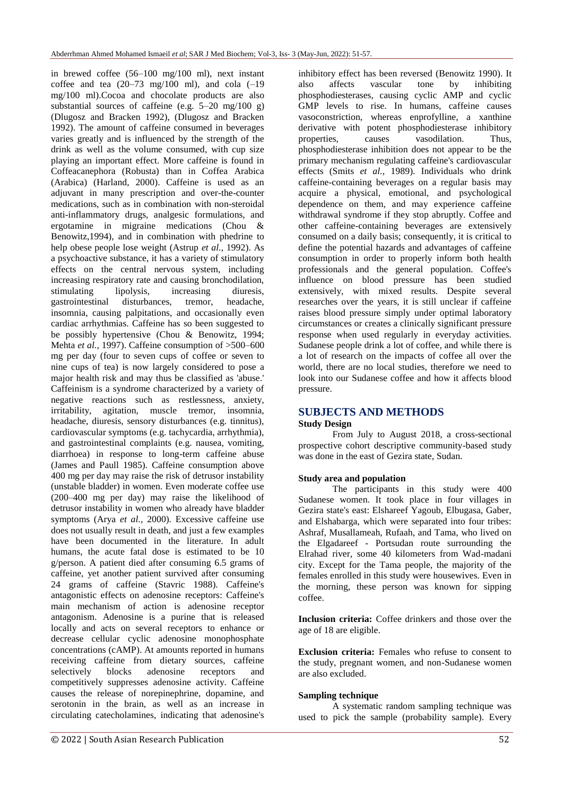in brewed coffee (56–100 mg/100 ml), next instant coffee and tea  $(20-73 \text{ mg}/100 \text{ ml})$ , and cola  $(-19$ mg/100 ml).Cocoa and chocolate products are also substantial sources of caffeine (e.g.  $5-20$  mg/100 g) (Dlugosz and Bracken 1992), (Dlugosz and Bracken 1992). The amount of caffeine consumed in beverages varies greatly and is influenced by the strength of the drink as well as the volume consumed, with cup size playing an important effect. More caffeine is found in Coffeacanephora (Robusta) than in Coffea Arabica (Arabica) (Harland, 2000). Caffeine is used as an adjuvant in many prescription and over-the-counter medications, such as in combination with non-steroidal anti-inflammatory drugs, analgesic formulations, and ergotamine in migraine medications (Chou & Benowitz,1994), and in combination with phedrine to help obese people lose weight (Astrup *et al.*, 1992). As a psychoactive substance, it has a variety of stimulatory effects on the central nervous system, including increasing respiratory rate and causing bronchodilation, stimulating lipolysis, increasing diuresis, gastrointestinal disturbances, tremor, headache, insomnia, causing palpitations, and occasionally even cardiac arrhythmias. Caffeine has so been suggested to be possibly hypertensive (Chou & Benowitz, 1994; Mehta *et al.*, 1997). Caffeine consumption of  $>500-600$ mg per day (four to seven cups of coffee or seven to nine cups of tea) is now largely considered to pose a major health risk and may thus be classified as 'abuse.' Caffeinism is a syndrome characterized by a variety of negative reactions such as restlessness, anxiety, irritability, agitation, muscle tremor, insomnia, headache, diuresis, sensory disturbances (e.g. tinnitus), cardiovascular symptoms (e.g. tachycardia, arrhythmia), and gastrointestinal complaints (e.g. nausea, vomiting, diarrhoea) in response to long-term caffeine abuse (James and Paull 1985). Caffeine consumption above 400 mg per day may raise the risk of detrusor instability (unstable bladder) in women. Even moderate coffee use (200–400 mg per day) may raise the likelihood of detrusor instability in women who already have bladder symptoms (Arya *et al.,* 2000). Excessive caffeine use does not usually result in death, and just a few examples have been documented in the literature. In adult humans, the acute fatal dose is estimated to be 10 g/person. A patient died after consuming 6.5 grams of caffeine, yet another patient survived after consuming 24 grams of caffeine (Stavric 1988). Caffeine's antagonistic effects on adenosine receptors: Caffeine's main mechanism of action is adenosine receptor antagonism. Adenosine is a purine that is released locally and acts on several receptors to enhance or decrease cellular cyclic adenosine monophosphate concentrations (cAMP). At amounts reported in humans receiving caffeine from dietary sources, caffeine selectively blocks adenosine receptors and competitively suppresses adenosine activity. Caffeine causes the release of norepinephrine, dopamine, and serotonin in the brain, as well as an increase in circulating catecholamines, indicating that adenosine's

inhibitory effect has been reversed (Benowitz 1990). It also affects vascular tone by inhibiting phosphodiesterases, causing cyclic AMP and cyclic GMP levels to rise. In humans, caffeine causes vasoconstriction, whereas enprofylline, a xanthine derivative with potent phosphodiesterase inhibitory properties, causes vasodilation. Thus, phosphodiesterase inhibition does not appear to be the primary mechanism regulating caffeine's cardiovascular effects (Smits *et al.*, 1989). Individuals who drink caffeine-containing beverages on a regular basis may acquire a physical, emotional, and psychological dependence on them, and may experience caffeine withdrawal syndrome if they stop abruptly. Coffee and other caffeine-containing beverages are extensively consumed on a daily basis; consequently, it is critical to define the potential hazards and advantages of caffeine consumption in order to properly inform both health professionals and the general population. Coffee's influence on blood pressure has been studied extensively, with mixed results. Despite several researches over the years, it is still unclear if caffeine raises blood pressure simply under optimal laboratory circumstances or creates a clinically significant pressure response when used regularly in everyday activities. Sudanese people drink a lot of coffee, and while there is a lot of research on the impacts of coffee all over the world, there are no local studies, therefore we need to look into our Sudanese coffee and how it affects blood pressure.

## **SUBJECTS AND METHODS**

## **Study Design**

From July to August 2018, a cross-sectional prospective cohort descriptive community-based study was done in the east of Gezira state, Sudan.

#### **Study area and population**

The participants in this study were 400 Sudanese women. It took place in four villages in Gezira state's east: Elshareef Yagoub, Elbugasa, Gaber, and Elshabarga, which were separated into four tribes: Ashraf, Musallameah, Rufaah, and Tama, who lived on the Elgadareef - Portsudan route surrounding the Elrahad river, some 40 kilometers from Wad-madani city. Except for the Tama people, the majority of the females enrolled in this study were housewives. Even in the morning, these person was known for sipping coffee.

**Inclusion criteria:** Coffee drinkers and those over the age of 18 are eligible.

**Exclusion criteria:** Females who refuse to consent to the study, pregnant women, and non-Sudanese women are also excluded.

#### **Sampling technique**

A systematic random sampling technique was used to pick the sample (probability sample). Every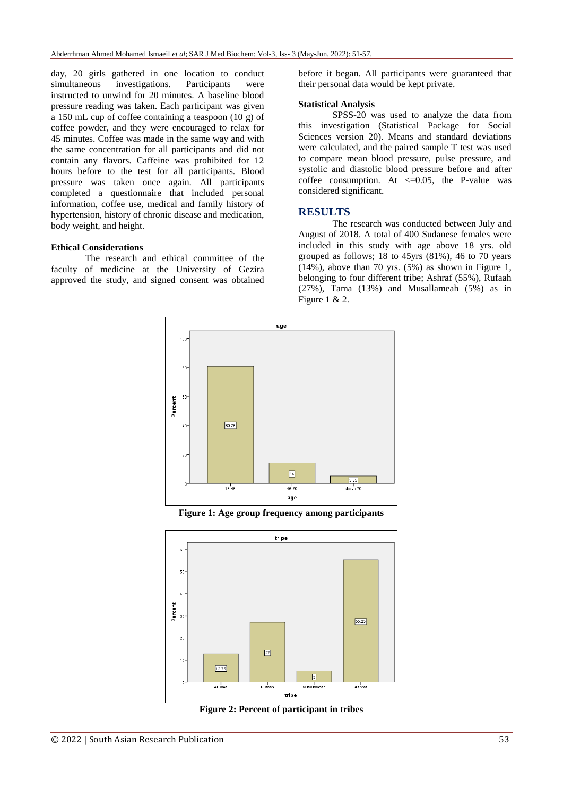day, 20 girls gathered in one location to conduct simultaneous investigations. Participants were instructed to unwind for 20 minutes. A baseline blood pressure reading was taken. Each participant was given a 150 mL cup of coffee containing a teaspoon (10 g) of coffee powder, and they were encouraged to relax for 45 minutes. Coffee was made in the same way and with the same concentration for all participants and did not contain any flavors. Caffeine was prohibited for 12 hours before to the test for all participants. Blood pressure was taken once again. All participants completed a questionnaire that included personal information, coffee use, medical and family history of hypertension, history of chronic disease and medication, body weight, and height.

#### **Ethical Considerations**

The research and ethical committee of the faculty of medicine at the University of Gezira approved the study, and signed consent was obtained before it began. All participants were guaranteed that their personal data would be kept private.

#### **Statistical Analysis**

SPSS-20 was used to analyze the data from this investigation (Statistical Package for Social Sciences version 20). Means and standard deviations were calculated, and the paired sample T test was used to compare mean blood pressure, pulse pressure, and systolic and diastolic blood pressure before and after coffee consumption. At  $\leq$  0.05, the P-value was considered significant.

### **RESULTS**

The research was conducted between July and August of 2018. A total of 400 Sudanese females were included in this study with age above 18 yrs. old grouped as follows; 18 to 45yrs (81%), 46 to 70 years (14%), above than 70 yrs. (5%) as shown in Figure 1, belonging to four different tribe; Ashraf (55%), Rufaah (27%), Tama (13%) and Musallameah (5%) as in Figure 1 & 2.



**Figure 1: Age group frequency among participants**



**Figure 2: Percent of participant in tribes**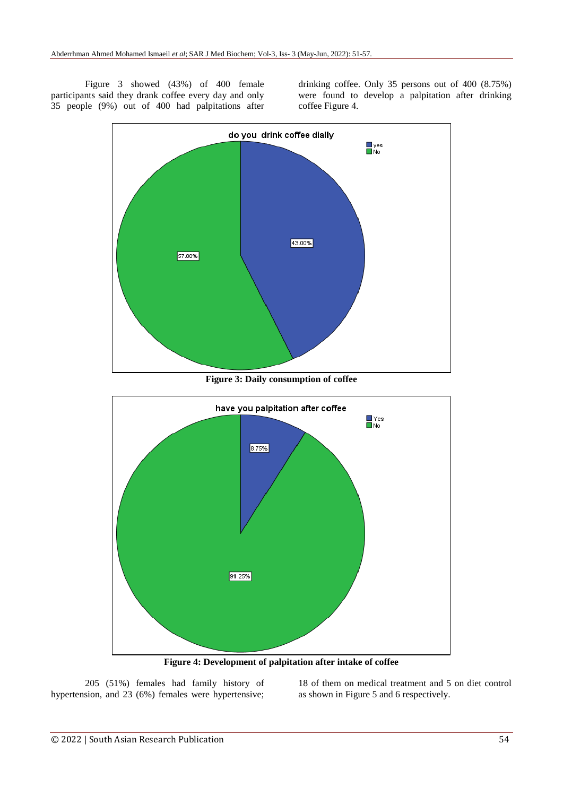Figure 3 showed (43%) of 400 female participants said they drank coffee every day and only 35 people (9%) out of 400 had palpitations after drinking coffee. Only 35 persons out of 400 (8.75%) were found to develop a palpitation after drinking coffee Figure 4.



**Figure 3: Daily consumption of coffee**



**Figure 4: Development of palpitation after intake of coffee**

205 (51%) females had family history of hypertension, and 23 (6%) females were hypertensive;

18 of them on medical treatment and 5 on diet control as shown in Figure 5 and 6 respectively.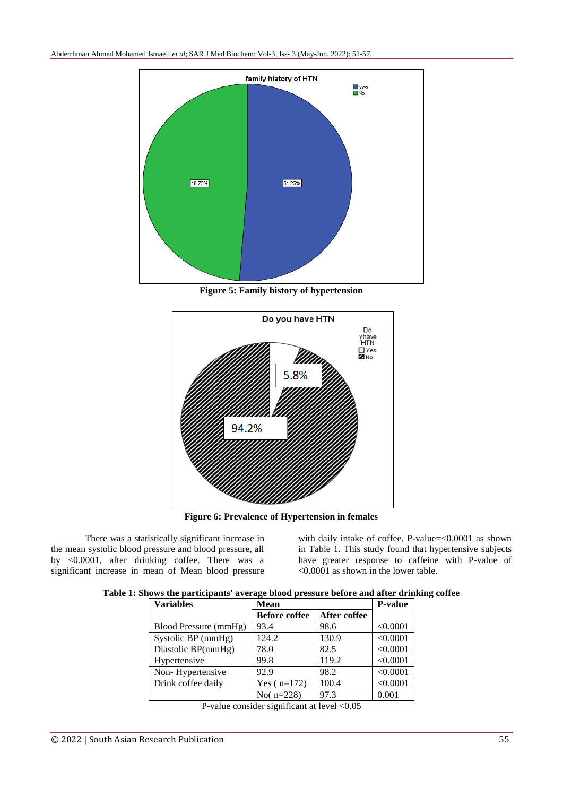

**Figure 5: Family history of hypertension**



**Figure 6: Prevalence of Hypertension in females**

There was a statistically significant increase in the mean systolic blood pressure and blood pressure, all by <0.0001, after drinking coffee. There was a significant increase in mean of Mean blood pressure

with daily intake of coffee, P-value=<0.0001 as shown in Table 1. This study found that hypertensive subjects have greater response to caffeine with P-value of <0.0001 as shown in the lower table.

|  | Table 1: Shows the participants' average blood pressure before and after drinking coffee |  |  |  |
|--|------------------------------------------------------------------------------------------|--|--|--|
|  |                                                                                          |  |  |  |

| <b>Variables</b>      | <b>Mean</b>          | <b>P-value</b> |          |
|-----------------------|----------------------|----------------|----------|
|                       | <b>Before coffee</b> | After coffee   |          |
| Blood Pressure (mmHg) | 93.4                 | 98.6           | < 0.0001 |
| Systolic BP (mmHg)    | 124.2                | 130.9          | < 0.0001 |
| Diastolic BP(mmHg)    | 78.0                 | 82.5           | < 0.0001 |
| Hypertensive          | 99.8                 | 119.2          | < 0.0001 |
| Non-Hypertensive      | 92.9                 | 98.2           | < 0.0001 |
| Drink coffee daily    | Yes $(n=172)$        | 100.4          | < 0.0001 |
|                       | No( $n=228$ )        | 97.3           | 0.001    |

P-value consider significant at level <0.05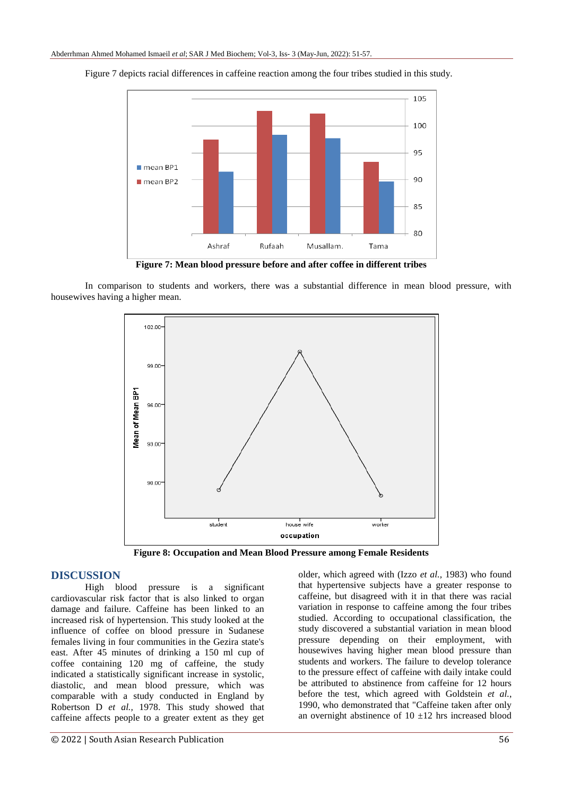

Figure 7 depicts racial differences in caffeine reaction among the four tribes studied in this study.

**Figure 7: Mean blood pressure before and after coffee in different tribes**

In comparison to students and workers, there was a substantial difference in mean blood pressure, with housewives having a higher mean.



**Figure 8: Occupation and Mean Blood Pressure among Female Residents**

## **DISCUSSION**

High blood pressure is a significant cardiovascular risk factor that is also linked to organ damage and failure. Caffeine has been linked to an increased risk of hypertension. This study looked at the influence of coffee on blood pressure in Sudanese females living in four communities in the Gezira state's east. After 45 minutes of drinking a 150 ml cup of coffee containing 120 mg of caffeine, the study indicated a statistically significant increase in systolic, diastolic, and mean blood pressure, which was comparable with a study conducted in England by Robertson D *et al.,* 1978. This study showed that caffeine affects people to a greater extent as they get older, which agreed with (Izzo *et al.,* 1983) who found that hypertensive subjects have a greater response to caffeine, but disagreed with it in that there was racial variation in response to caffeine among the four tribes studied. According to occupational classification, the study discovered a substantial variation in mean blood pressure depending on their employment, with housewives having higher mean blood pressure than students and workers. The failure to develop tolerance to the pressure effect of caffeine with daily intake could be attributed to abstinence from caffeine for 12 hours before the test, which agreed with Goldstein *et al.*, 1990, who demonstrated that "Caffeine taken after only an overnight abstinence of  $10 \pm 12$  hrs increased blood